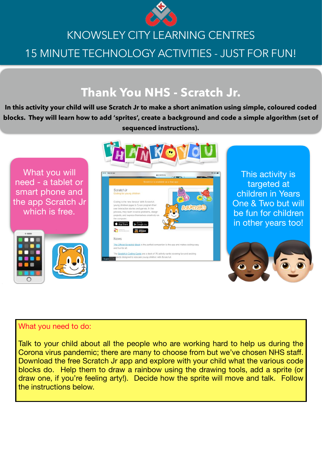

# KNOWSLEY CITY LEARNING CENTRES 15 MINUTE TECHNOLOGY ACTIVITIES - JUST FOR FUN!

## **Thank You NHS - Scratch Jr.**

**In this activity your child will use Scratch Jr to make a short animation using simple, coloured coded blocks. They will learn how to add 'sprites', create a background and code a simple algorithm (set of sequenced instructions).**



### What you need to do:

Talk to your child about all the people who are working hard to help us during the Corona virus pandemic; there are many to choose from but we've chosen NHS staff. Download the free Scratch Jr app and explore with your child what the various code blocks do. Help them to draw a rainbow using the drawing tools, add a sprite (or draw one, if you're feeling arty!). Decide how the sprite will move and talk. Follow the instructions below.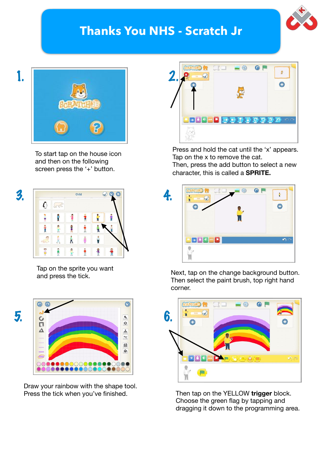### **Thanks You NHS - Scratch Jr**





To start tap on the house icon and then on the following screen press the '+' button.



Tap on the sprite you want<br>and press the tick.



Draw your rainbow with the shape tool.



Press and hold the cat until the 'x' appears. Tap on the x to remove the cat.

Then, press the add button to select a new character, this is called a **SPRITE.**



Next, tap on the change background button. Then select the paint brush, top right hand corner.



Press the tick when you've finished. Then tap on the YELLOW **trigger** block. Choose the green flag by tapping and dragging it down to the programming area.